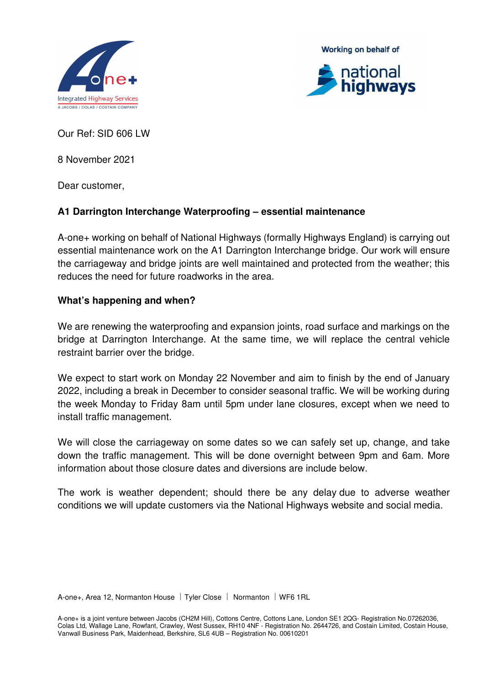





Our Ref: SID 606 LW

8 November 2021

Dear customer,

## **A1 Darrington Interchange Waterproofing – essential maintenance**

A-one+ working on behalf of National Highways (formally Highways England) is carrying out essential maintenance work on the A1 Darrington Interchange bridge. Our work will ensure the carriageway and bridge joints are well maintained and protected from the weather; this reduces the need for future roadworks in the area.

#### **What's happening and when?**

We are renewing the waterproofing and expansion joints, road surface and markings on the bridge at Darrington Interchange. At the same time, we will replace the central vehicle restraint barrier over the bridge.

We expect to start work on Monday 22 November and aim to finish by the end of January 2022, including a break in December to consider seasonal traffic. We will be working during the week Monday to Friday 8am until 5pm under lane closures, except when we need to install traffic management.

We will close the carriageway on some dates so we can safely set up, change, and take down the traffic management. This will be done overnight between 9pm and 6am. More information about those closure dates and diversions are include below.

The work is weather dependent; should there be any delay due to adverse weather conditions we will update customers via the National Highways website and social media.

A-one+, Area 12, Normanton House | Tyler Close | Normanton | WF6 1RL

A-one+ is a joint venture between Jacobs (CH2M Hill), Cottons Centre, Cottons Lane, London SE1 2QG- Registration No.07262036, Colas Ltd, Wallage Lane, Rowfant, Crawley, West Sussex, RH10 4NF - Registration No. 2644726, and Costain Limited, Costain House, Vanwall Business Park, Maidenhead, Berkshire, SL6 4UB – Registration No. 00610201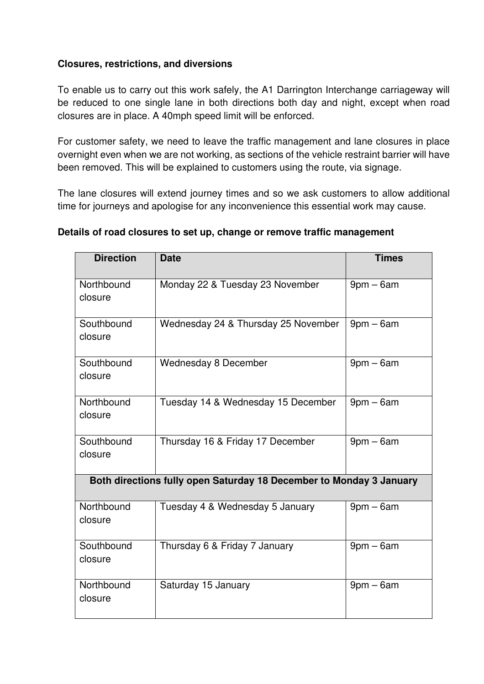#### **Closures, restrictions, and diversions**

To enable us to carry out this work safely, the A1 Darrington Interchange carriageway will be reduced to one single lane in both directions both day and night, except when road closures are in place. A 40mph speed limit will be enforced.

For customer safety, we need to leave the traffic management and lane closures in place overnight even when we are not working, as sections of the vehicle restraint barrier will have been removed. This will be explained to customers using the route, via signage.

The lane closures will extend journey times and so we ask customers to allow additional time for journeys and apologise for any inconvenience this essential work may cause.

| <b>Direction</b>                                                    | <b>Date</b>                         | <b>Times</b>   |  |
|---------------------------------------------------------------------|-------------------------------------|----------------|--|
| Northbound<br>closure                                               | Monday 22 & Tuesday 23 November     | $9$ pm $-6$ am |  |
| Southbound<br>closure                                               | Wednesday 24 & Thursday 25 November | $9$ pm $-6$ am |  |
| Southbound<br>closure                                               | Wednesday 8 December                | $9pm - 6am$    |  |
| Northbound<br>closure                                               | Tuesday 14 & Wednesday 15 December  | $9$ pm $-6$ am |  |
| Southbound<br>closure                                               | Thursday 16 & Friday 17 December    | $9$ pm $-6$ am |  |
| Both directions fully open Saturday 18 December to Monday 3 January |                                     |                |  |
| Northbound<br>closure                                               | Tuesday 4 & Wednesday 5 January     | $9$ pm $-6$ am |  |
| Southbound<br>closure                                               | Thursday 6 & Friday 7 January       | $9$ pm $-6$ am |  |
| Northbound<br>closure                                               | Saturday 15 January                 | $9$ pm $-6$ am |  |

## **Details of road closures to set up, change or remove traffic management**